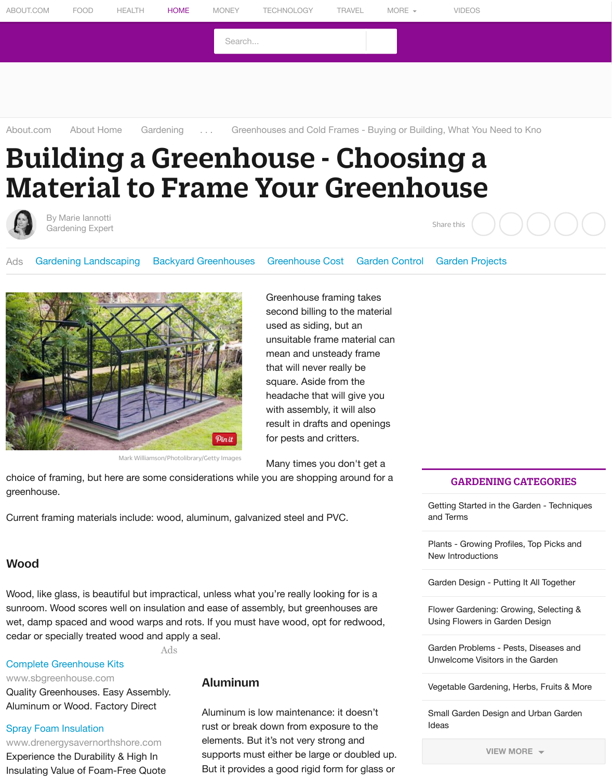

Mark Williamson/Photolibrary/Getty Images

Greenhouse framing take [second billing](http://www.about.com/compute/) to the mat used as siding, but an unsuitable frame materia mean and unsteady fram that will never really be square. Aside from the headache that will give y with assembly, it will also result in drafts and openi for pests and critters.

Many times you don't get

choice of framing, but here are some considerations while you are shopping around greenhouse.

[Current](http://gardening.about.com/bio/Marie-Iannotti-7005.htm) f[ram](http://gardening.about.com/)[ing materia](http://gardening.about.com/bio/Marie-Iannotti-7005.htm)[ls](http://gardening.about.com/) include: wood, aluminum, galvanized steel and PVC.

## [Wo](http://gardening.about.com/od/toolschool/qt/GreenhouseFrame.htm#)o[d](http://gardening.about.com/z/js/o.htm?k=gardening%20landscaping&SUName=gardening&d=Gardening%20Landscaping&r=http%3A%2F%2Fgardening.about.com%2Fod%2Ftoolschool%2Fqt%2FGreenhouseFrame.htm)

Wood, like glass, is beautiful but impractical, unless what you're really looking for is a sunroom. Wood scores well on insulation and ease of assembly, but greenhouses are wet, damp spaced and wood warps and rots. If you must have wood, opt for redwoo cedar or specially treated wood and apply a seal.

Ads

#### Complete Greenhouse Kits

www.sbgreenhouse.com Quality Greenhouses. Easy Assembly. Aluminum or Wood. Factory Direct

#### Spray Foam Insulation

www.drenergysavernorthshore.com Experience the Durability & High In Insulating Value of Foam-Free Quote

### Aluminum

Aluminum is low maintenance: it doesn't rust or break down from exposure to the elements. But it's not very strong and supports must either be large or double But it provides a good rigid form for glass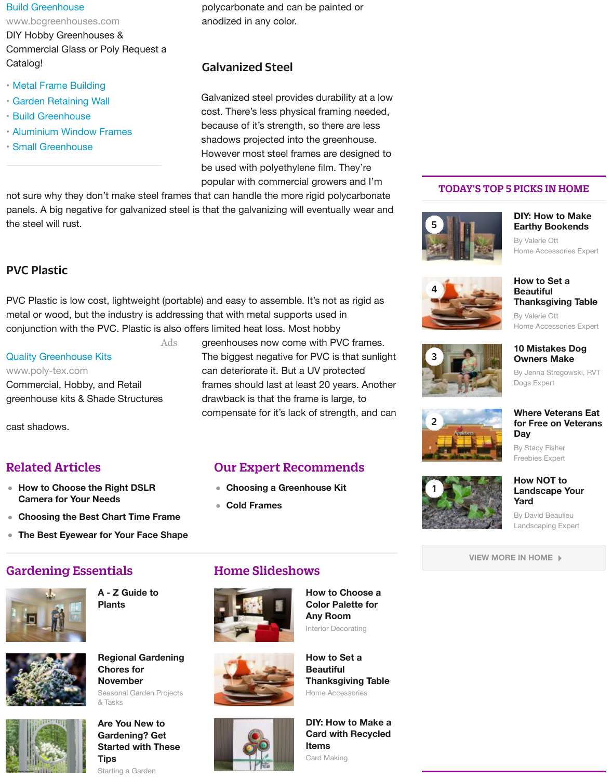[PVC Plastic is low](http://www.googleadservices.com/pagead/aclk?sa=L&ai=CmPV_EMVgVPzbJ8aEMcScgtALzaTl0QWNo8HyqgHAjbcBEAMgn_3YICgEYMnm-IiEpOwPoAHxl_b-A8gBAakCpUrvqAWvrT6oAwGqBJUBT9AFHnf6hrdjmuCoYRbFynJZyG-saTtHueEjz7Cd-pgYJ5JSqi30xXu4Qb1_02ed505KxAOSV0_NpvKrwN3f53GyV_aONcWKg0MPWYhc0oS8f8hiBzEHzmQ6-MzgkGaFBdFQt_XY4BfWRY1WpWZRbkzm7fDZq2JusHg1NqONM-S4PsLoQ2eHpjkEKuh-_GmZTjws-EyIBgGAB_fniQE&num=3&cid=5Ggimjapk-9qay1Srl9-RtV4&sig=AOD64_2JPTUMlyNUERDIrcjZfSIRZcDGDA&client=ca-aj-about-premium&adurl=http://www.bcgreenhouses.com/htb/catalogue_request.php) cost, lightweight (portable) and easy to assemble. It's not as rigid [metal or wood, but the ind](http://www.googleadservices.com/pagead/aclk?sa=L&ai=CmPV_EMVgVPzbJ8aEMcScgtALzaTl0QWNo8HyqgHAjbcBEAMgn_3YICgEYMnm-IiEpOwPoAHxl_b-A8gBAakCpUrvqAWvrT6oAwGqBJUBT9AFHnf6hrdjmuCoYRbFynJZyG-saTtHueEjz7Cd-pgYJ5JSqi30xXu4Qb1_02ed505KxAOSV0_NpvKrwN3f53GyV_aONcWKg0MPWYhc0oS8f8hiBzEHzmQ6-MzgkGaFBdFQt_XY4BfWRY1WpWZRbkzm7fDZq2JusHg1NqONM-S4PsLoQ2eHpjkEKuh-_GmZTjws-EyIBgGAB_fniQE&num=3&cid=5Ggimjapk-9qay1Srl9-RtV4&sig=AOD64_2JPTUMlyNUERDIrcjZfSIRZcDGDA&client=ca-aj-about-premium&adurl=http://www.bcgreenhouses.com/htb/catalogue_request.php)ustry is addressing that with metal supports used in conjunction with the PVC. Plastic is also offers limited heat loss. Most hobby

Ads

Quality Greenhouse Kits www.poly-tex.com [Commercial, Hobby, an](http://gardening.about.com/z/js/o.htm?k=metal%20frame%20building&SUName=gardening&d=Metal%20Frame%20Building&r=http%3A%2F%2Fgardening.about.com%2Fod%2Ftoolschool%2Fqt%2FGreenhouseFrame.htm)d Retail g[reenhouse kits & Shade](http://gardening.about.com/z/js/o.htm?k=garden%20retaining%20wall&SUName=gardening&d=Garden%20Retaining%20Wall&r=http%3A%2F%2Fgardening.about.com%2Fod%2Ftoolschool%2Fqt%2FGreenhouseFrame.htm) Structures

c[ast shadows.](http://gardening.about.com/z/js/o.htm?k=aluminium%20window%20frames&SUName=gardening&d=Aluminium%20Window%20Frames&r=http%3A%2F%2Fgardening.about.com%2Fod%2Ftoolschool%2Fqt%2FGreenhouseFrame.htm)

# Related Articles

- **How to Choose the Right DSLR Camera for Your Needs**
- **Choosing the Best Chart Time Frame**
- **The Best Eyewear for Your Face Shape**

# Gardening Essentials



**A - Z Guide to Plants**





**[Reg](http://googleads.g.doubleclick.net/aclk?sa=L&ai=C8TEbEMVgVPzbJ8aEMcScgtAL49Pz1QXjroKwAsCNtwEQBCCf_dggKARgyeb4iISk7A_IAQGoAwGqBJYBT9A1SVb6gbdjmuCoYRbFynJZyG-saTtHueEjz7Cd-pgYJ5JSqi30xXu4Qb1_02ed505KxAOSV0_NpvKrwN3f53GyV_aONcWKg0MPWYhc0oS8f8hiBzEHzmQ6-MzgkGaFBdFQt_XY1lGiT41WpWZRbkzm7fDZq2JusHg1NqONM-S4PsLoQ2eHpjkEKuh-_GmZTjw0xvuugAe3iuUC&num=4&sig=AOD64_1f70FCtlalVNWotDSknzlbx07WDw&client=ca-aj-about-premium&adurl=http://www.poly-tex.com)ional Gardening Chores for November**

Seasonal Garden Projects & Tasks

## **Are You New to Gardening? Get Started with These Tips**

Starting a Garden

greenhouses now come with PVC frame The biggest negative for PVC is that surl can deteriorate it. But a UV protected frames should last at least 20 years. An drawback is that the frame is large, to compensate for it's lack of strength, and

# Our Expert Recommends

- **Choosing a Greenhouse Kit**
- **Cold Frames**

# Home Slideshows



Interior Decorating **How to Choose Color Palette for Any Room**





Home Accessories **How to Set a Beautiful Thanksgiving Ta** 

#### **DIY: How to Make Card with Recyd Items**

Card Making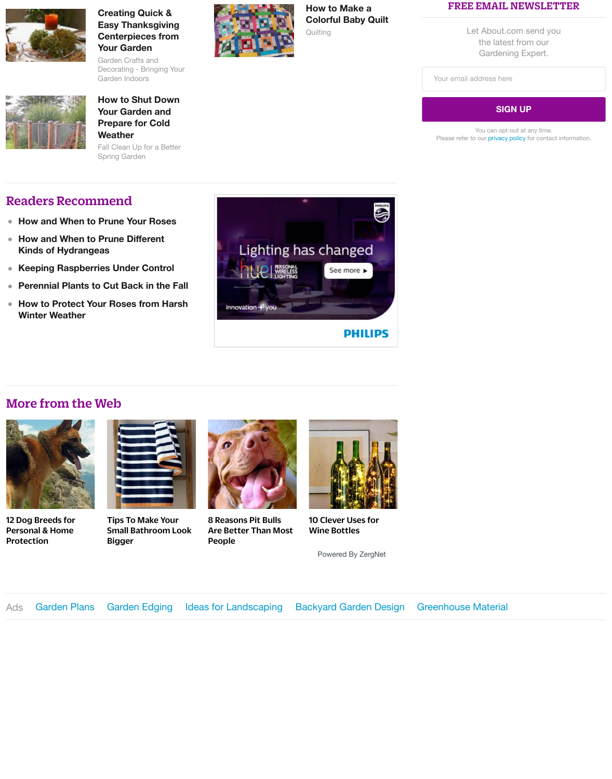**How to Protect Yo[ur Roses from Hars](http://gardening.about.com/od/craftsanddecor/ig/Holiday-Garden-Centerpieces/Centerpiece-with-Dried-Flowers.--Ik.htm)h**  $\bullet$ **Winter Weather**



## More from the [Web](http://gardening.about.com/od/fallinthegarden/a/Putting-the-Garden-to-Bed.htm)



12 Dog Breeds for Personal & Home **Protection** 



[Tips To Make Your](http://gardening.about.com/od/rose1/a/RosePruning.htm) [Small Bathroom](http://gardening.about.com/od/treesshrubs/a/Prune_Hydrangea.htm) Look Bigger



8 Reasons Pit Bulls Are Better Than Most People



10 Clever Uses fo Wine Bottles

Powered By Zerg

Ads Garden Plans [Garden Edging](http://gardening.about.com/od/winerrosecare/tp/Winter_Rose_Care.htm) Ideas for Landscaping Backyard Garden